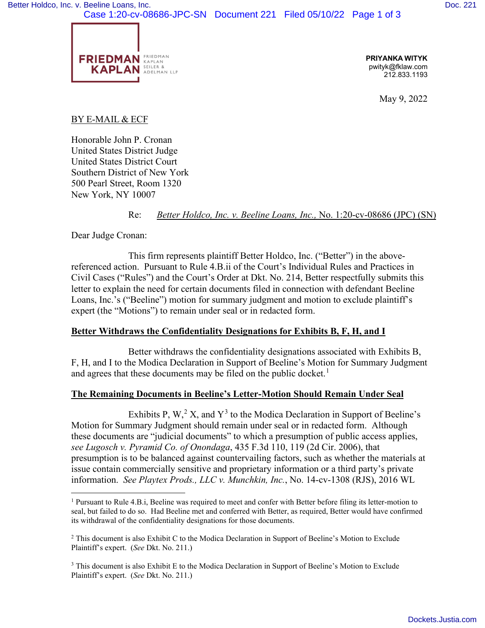Case 1:20-cv-08686-JPC-SN Document 221 Filed 05/10/22 Page 1 of 3



**PRIYANKA WITYK** pwityk@fklaw.com 212.833.1193

May 9, 2022

## BY E-MAIL & ECF

Honorable John P. Cronan United States District Judge United States District Court Southern District of New York 500 Pearl Street, Room 1320 New York, NY 10007

Re: *Better Holdco, Inc. v. Beeline Loans, Inc.,* No. 1:20-cv-08686 (JPC) (SN)

Dear Judge Cronan:

This firm represents plaintiff Better Holdco, Inc. ("Better") in the abovereferenced action. Pursuant to Rule 4.B.ii of the Court's Individual Rules and Practices in Civil Cases ("Rules") and the Court's Order at Dkt. No. 214, Better respectfully submits this letter to explain the need for certain documents filed in connection with defendant Beeline Loans, Inc.'s ("Beeline") motion for summary judgment and motion to exclude plaintiff's expert (the "Motions") to remain under seal or in redacted form.

## **Better Withdraws the Confidentiality Designations for Exhibits B, F, H, and I**

Better withdraws the confidentiality designations associated with Exhibits B, F, H, and I to the Modica Declaration in Support of Beeline's Motion for Summary Judgment and agrees that these documents may be filed on the public docket.<sup>[1](#page-0-0)</sup>

## **The Remaining Documents in Beeline's Letter-Motion Should Remain Under Seal**

Exhibits P, W,<sup>[2](#page-0-1)</sup> X, and  $Y^3$  $Y^3$  to the Modica Declaration in Support of Beeline's Motion for Summary Judgment should remain under seal or in redacted form. Although these documents are "judicial documents" to which a presumption of public access applies, *see Lugosch v. Pyramid Co. of Onondaga*, 435 F.3d 110, 119 (2d Cir. 2006), that presumption is to be balanced against countervailing factors, such as whether the materials at issue contain commercially sensitive and proprietary information or a third party's private information. *See Playtex Prods., LLC v. Munchkin, Inc.*, No. 14-cv-1308 (RJS), 2016 WL

<span id="page-0-0"></span><sup>&</sup>lt;sup>1</sup> Pursuant to Rule 4.B.i, Beeline was required to meet and confer with Better before filing its letter-motion to seal, but failed to do so. Had Beeline met and conferred with Better, as required, Better would have confirmed its withdrawal of the confidentiality designations for those documents.

<span id="page-0-1"></span><sup>2</sup> This document is also Exhibit C to the Modica Declaration in Support of Beeline's Motion to Exclude Plaintiff's expert. (*See* Dkt. No. 211.)

<span id="page-0-2"></span><sup>&</sup>lt;sup>3</sup> This document is also Exhibit E to the Modica Declaration in Support of Beeline's Motion to Exclude Plaintiff's expert. (*See* Dkt. No. 211.)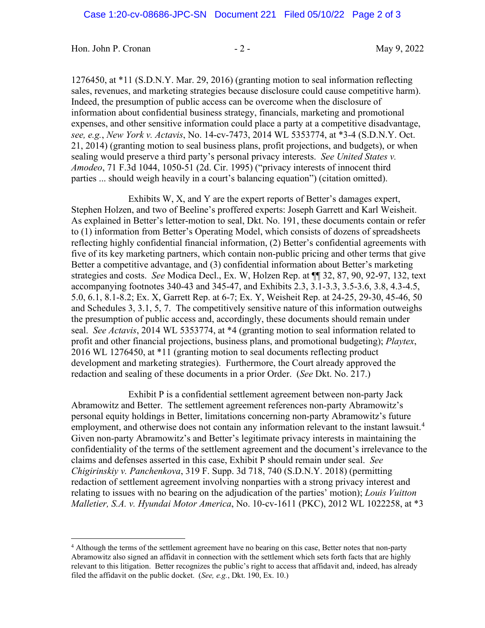Hon. John P. Cronan - 2 - 2 - 1999, 2022

1276450, at \*11 (S.D.N.Y. Mar. 29, 2016) (granting motion to seal information reflecting sales, revenues, and marketing strategies because disclosure could cause competitive harm). Indeed, the presumption of public access can be overcome when the disclosure of information about confidential business strategy, financials, marketing and promotional expenses, and other sensitive information could place a party at a competitive disadvantage, *see, e.g.*, *New York v. Actavis*, No. 14-cv-7473, 2014 WL 5353774, at \*3-4 (S.D.N.Y. Oct. 21, 2014) (granting motion to seal business plans, profit projections, and budgets), or when sealing would preserve a third party's personal privacy interests. *See United States v. Amodeo*, 71 F.3d 1044, 1050-51 (2d. Cir. 1995) ("privacy interests of innocent third parties ... should weigh heavily in a court's balancing equation") (citation omitted).

Exhibits W, X, and Y are the expert reports of Better's damages expert, Stephen Holzen, and two of Beeline's proffered experts: Joseph Garrett and Karl Weisheit. As explained in Better's letter-motion to seal, Dkt. No. 191, these documents contain or refer to (1) information from Better's Operating Model, which consists of dozens of spreadsheets reflecting highly confidential financial information, (2) Better's confidential agreements with five of its key marketing partners, which contain non-public pricing and other terms that give Better a competitive advantage, and (3) confidential information about Better's marketing strategies and costs. *See* Modica Decl., Ex. W, Holzen Rep. at ¶¶ 32, 87, 90, 92-97, 132, text accompanying footnotes 340-43 and 345-47, and Exhibits 2.3, 3.1-3.3, 3.5-3.6, 3.8, 4.3-4.5, 5.0, 6.1, 8.1-8.2; Ex. X, Garrett Rep. at 6-7; Ex. Y, Weisheit Rep. at 24-25, 29-30, 45-46, 50 and Schedules 3, 3.1, 5, 7. The competitively sensitive nature of this information outweighs the presumption of public access and, accordingly, these documents should remain under seal. *See Actavis*, 2014 WL 5353774, at \*4 (granting motion to seal information related to profit and other financial projections, business plans, and promotional budgeting); *Playtex*, 2016 WL 1276450, at \*11 (granting motion to seal documents reflecting product development and marketing strategies). Furthermore, the Court already approved the redaction and sealing of these documents in a prior Order. (*See* Dkt. No. 217.)

Exhibit P is a confidential settlement agreement between non-party Jack Abramowitz and Better. The settlement agreement references non-party Abramowitz's personal equity holdings in Better, limitations concerning non-party Abramowitz's future employment, and otherwise does not contain any information relevant to the instant lawsuit.<sup>[4](#page-1-0)</sup> Given non-party Abramowitz's and Better's legitimate privacy interests in maintaining the confidentiality of the terms of the settlement agreement and the document's irrelevance to the claims and defenses asserted in this case, Exhibit P should remain under seal. *See Chigirinskiy v. Panchenkova*, 319 F. Supp. 3d 718, 740 (S.D.N.Y. 2018) (permitting redaction of settlement agreement involving nonparties with a strong privacy interest and relating to issues with no bearing on the adjudication of the parties' motion); *Louis Vuitton Malletier, S.A. v. Hyundai Motor America*, No. 10-cv-1611 (PKC), 2012 WL 1022258, at \*3

<span id="page-1-0"></span><sup>&</sup>lt;sup>4</sup> Although the terms of the settlement agreement have no bearing on this case, Better notes that non-party Abramowitz also signed an affidavit in connection with the settlement which sets forth facts that are highly relevant to this litigation. Better recognizes the public's right to access that affidavit and, indeed, has already filed the affidavit on the public docket. (*See, e.g.*, Dkt. 190, Ex. 10.)